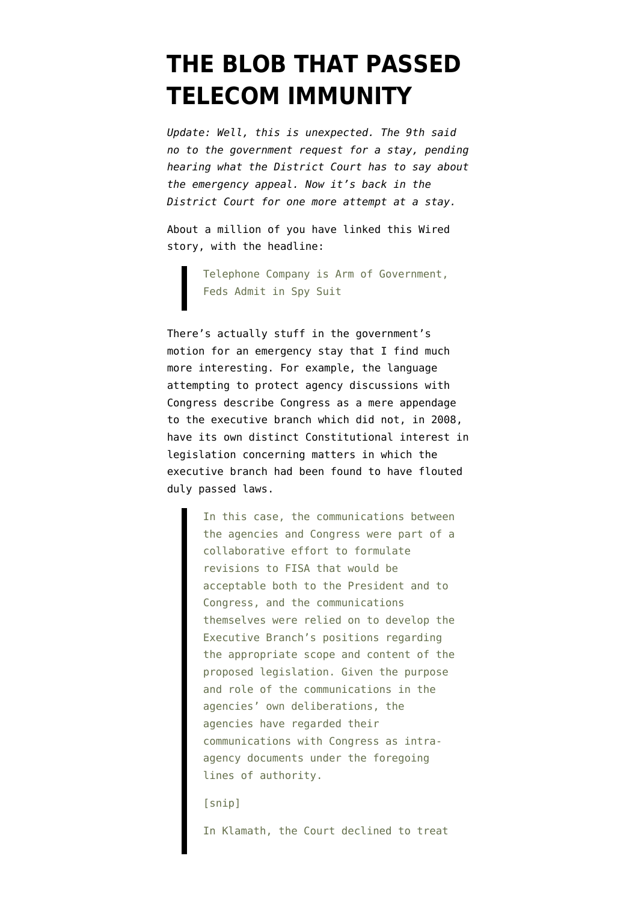## **[THE BLOB THAT PASSED](https://www.emptywheel.net/2009/10/09/the-blob-that-passed-telecom-immunity/) [TELECOM IMMUNITY](https://www.emptywheel.net/2009/10/09/the-blob-that-passed-telecom-immunity/)**

*Update: Well, this is unexpected. The 9th [said](http://www.eff.org/deeplinks/2009/10/appeals-court-denies-government-motion-delay-relea) [no to the government request for a stay,](http://www.eff.org/deeplinks/2009/10/appeals-court-denies-government-motion-delay-relea) pending hearing what the District Court has to say about the emergency appeal. Now it's back in the District Court for one more attempt at a stay.*

About a million of you have linked [this Wired](http://www.wired.com/threatlevel/2009/10/att-doj-foia/) [story](http://www.wired.com/threatlevel/2009/10/att-doj-foia/), with the headline:

> Telephone Company is Arm of Government, Feds Admit in Spy Suit

There's actually stuff in the [government's](http://www.eff.org/files/filenode/foia_C0705278/Emergency%20stay%20motion.final.pdf) [motion](http://www.eff.org/files/filenode/foia_C0705278/Emergency%20stay%20motion.final.pdf) for an emergency stay that I find much more interesting. For example, the language attempting to protect agency discussions with Congress describe Congress as a mere appendage to the executive branch which did not, in 2008, have its own distinct Constitutional interest in legislation concerning matters in which the executive branch had been found to have flouted duly passed laws.

> In this case, the communications between the agencies and Congress were part of a collaborative effort to formulate revisions to FISA that would be acceptable both to the President and to Congress, and the communications themselves were relied on to develop the Executive Branch's positions regarding the appropriate scope and content of the proposed legislation. Given the purpose and role of the communications in the agencies' own deliberations, the agencies have regarded their communications with Congress as intraagency documents under the foregoing lines of authority.

[snip]

In Klamath, the Court declined to treat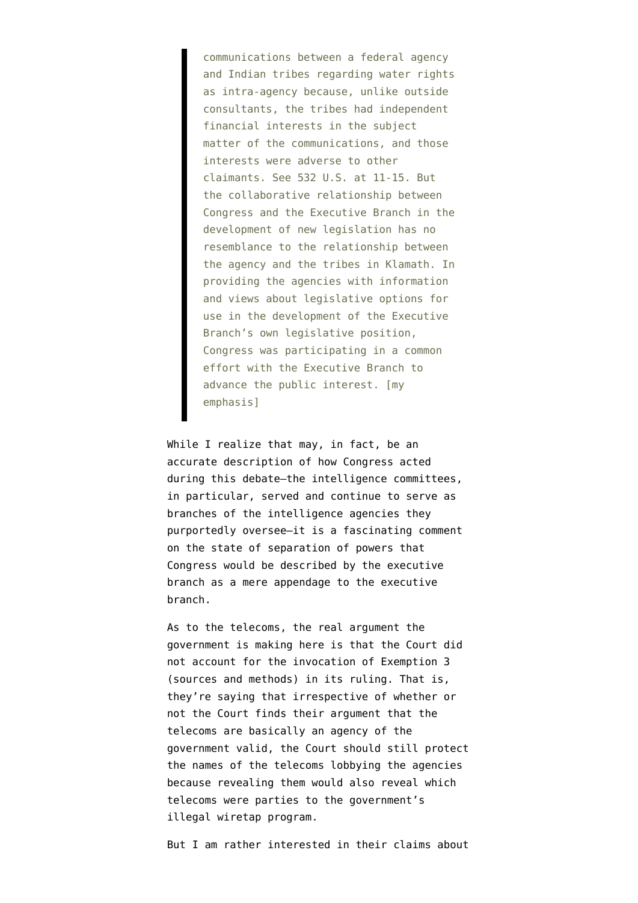communications between a federal agency and Indian tribes regarding water rights as intra-agency because, unlike outside consultants, the tribes had independent financial interests in the subject matter of the communications, and those interests were adverse to other claimants. See 532 U.S. at 11-15. But the collaborative relationship between Congress and the Executive Branch in the development of new legislation has no resemblance to the relationship between the agency and the tribes in Klamath. In providing the agencies with information and views about legislative options for use in the development of the Executive Branch's own legislative position, Congress was participating in a common effort with the Executive Branch to advance the public interest. [my emphasis]

While I realize that may, in fact, be an accurate description of how Congress acted during this debate–the intelligence committees, in particular, served and continue to serve as branches of the intelligence agencies they purportedly oversee–it is a fascinating comment on the state of separation of powers that Congress would be described by the executive branch as a mere appendage to the executive branch.

As to the telecoms, the real argument the government is making here is that the Court did not account for the invocation of Exemption 3 (sources and methods) in its ruling. That is, they're saying that irrespective of whether or not the Court finds their argument that the telecoms are basically an agency of the government valid, the Court should still protect the names of the telecoms lobbying the agencies because revealing them would also reveal which telecoms were parties to the government's illegal wiretap program.

But I am rather interested in their claims about